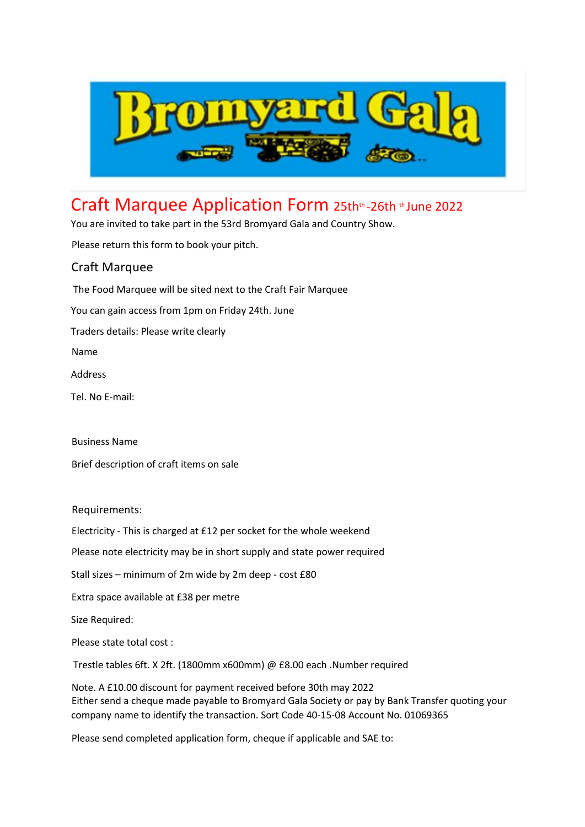

## Craft Marquee Application Form 25thth-26th th June 2022

You are invited to take part in the 53rd Bromyard Gala and Country Show.

Please return this form to book your pitch.

## Craft Marquee

The Food Marquee will be sited next to the Craft Fair Marquee You can gain access from 1pm on Friday 24th. June Traders details: Please write clearly Name Address Tel. No E-mail:

Business Name Brief description of craft items on sale

Requirements:

Electricity - This is charged at £12 per socket for the whole weekend

Please note electricity may be in short supply and state power required

Stall sizes – minimum of 2m wide by 2m deep - cost £80

Extra space available at £38 per metre

Size Required:

Please state total cost :

Trestle tables 6ft. X 2ft. (1800mm x600mm) @ £8.00 each .Number required

Note. A £10.00 discount for payment received before 30th may 2022 Either send a cheque made payable to Bromyard Gala Society or pay by Bank Transfer quoting your company name to identify the transaction. Sort Code 40-15-08 Account No. 01069365

Please send completed application form, cheque if applicable and SAE to: